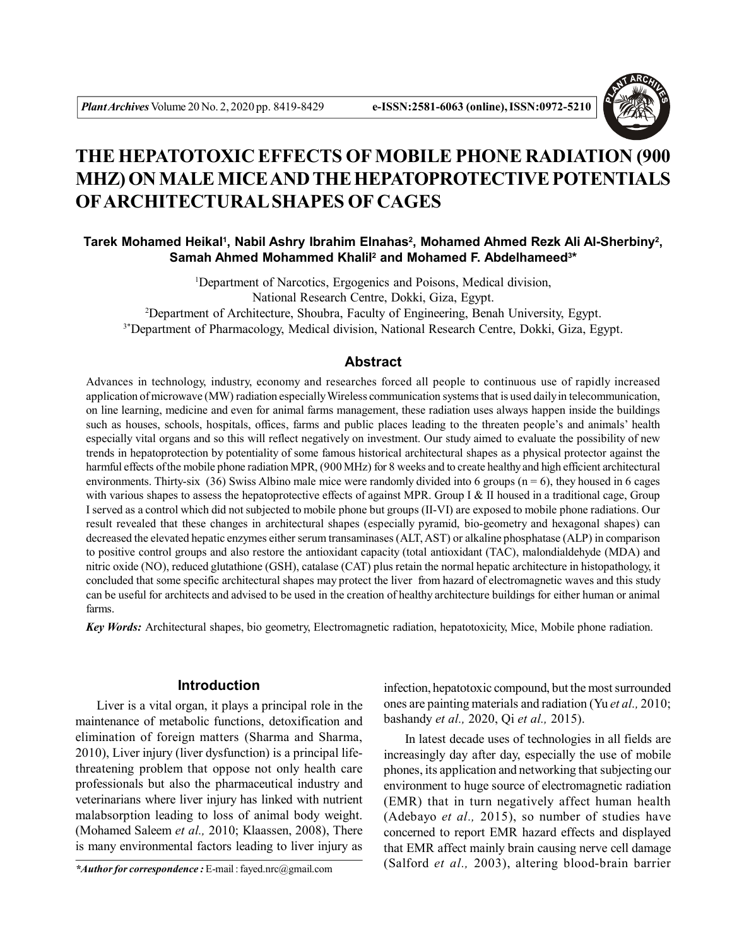

# **THE HEPATOTOXIC EFFECTS OF MOBILE PHONE RADIATION (900 MHZ) ON MALE MICE AND THE HEPATOPROTECTIVE POTENTIALS OFARCHITECTURAL SHAPES OF CAGES**

# Tarek Mohamed Heikal<sup>ı</sup>, Nabil Ashry Ibrahim Elnahas<sup>2</sup>, Mohamed Ahmed Rezk Ali Al-Sherbiny<sup>2</sup>, **Samah Ahmed Mohammed Khalil<sup>2</sup> and Mohamed F. Abdelhameed<sup>3</sup> \***

<sup>1</sup>Department of Narcotics, Ergogenics and Poisons, Medical division, National Research Centre, Dokki, Giza, Egypt. <sup>2</sup>Department of Architecture, Shoubra, Faculty of Engineering, Benah University, Egypt. <sup>3\*</sup>Department of Pharmacology, Medical division, National Research Centre, Dokki, Giza, Egypt.

# **Abstract**

Advances in technology, industry, economy and researches forced all people to continuous use of rapidly increased application of microwave (MW) radiation especially Wireless communication systems that is used daily in telecommunication, on line learning, medicine and even for animal farms management, these radiation uses always happen inside the buildings such as houses, schools, hospitals, offices, farms and public places leading to the threaten people's and animals' health especially vital organs and so this will reflect negatively on investment. Our study aimed to evaluate the possibility of new trends in hepatoprotection by potentiality of some famous historical architectural shapes as a physical protector against the harmful effects of the mobile phone radiation MPR, (900 MHz) for 8 weeks and to create healthy and high efficient architectural environments. Thirty-six (36) Swiss Albino male mice were randomly divided into 6 groups ( $n = 6$ ), they housed in 6 cages with various shapes to assess the hepatoprotective effects of against MPR. Group I  $\&$  II housed in a traditional cage, Group I served as a control which did not subjected to mobile phone but groups (II-VI) are exposed to mobile phone radiations. Our result revealed that these changes in architectural shapes (especially pyramid, bio-geometry and hexagonal shapes) can decreased the elevated hepatic enzymes either serum transaminases (ALT, AST) or alkaline phosphatase (ALP) in comparison to positive control groups and also restore the antioxidant capacity (total antioxidant (TAC), malondialdehyde (MDA) and nitric oxide (NO), reduced glutathione (GSH), catalase (CAT) plus retain the normal hepatic architecture in histopathology, it concluded that some specific architectural shapes may protect the liver from hazard of electromagnetic waves and this study can be useful for architects and advised to be used in the creation of healthy architecture buildings for either human or animal farms.

*Key Words:* Architectural shapes, bio geometry, Electromagnetic radiation, hepatotoxicity, Mice, Mobile phone radiation.

## **Introduction**

Liver is a vital organ, it plays a principal role in the maintenance of metabolic functions, detoxification and elimination of foreign matters (Sharma and Sharma, 2010), Liver injury (liver dysfunction) is a principal lifethreatening problem that oppose not only health care professionals but also the pharmaceutical industry and veterinarians where liver injury has linked with nutrient malabsorption leading to loss of animal body weight. (Mohamed Saleem *et al.,* 2010; Klaassen, 2008), There is many environmental factors leading to liver injury as

infection, hepatotoxic compound, but the most surrounded ones are painting materials and radiation (Yu *et al.,* 2010; bashandy *et al.,* 2020, Qi *et al.,* 2015).

In latest decade uses of technologies in all fields are increasingly day after day, especially the use of mobile phones, its application and networking that subjecting our environment to huge source of electromagnetic radiation (EMR) that in turn negatively affect human health (Adebayo *et al.,* 2015), so number of studies have concerned to report EMR hazard effects and displayed that EMR affect mainly brain causing nerve cell damage (Salford *et al.,* 2003), altering blood-brain barrier *\*Author for correspondence :* E-mail : fayed.nrc@gmail.com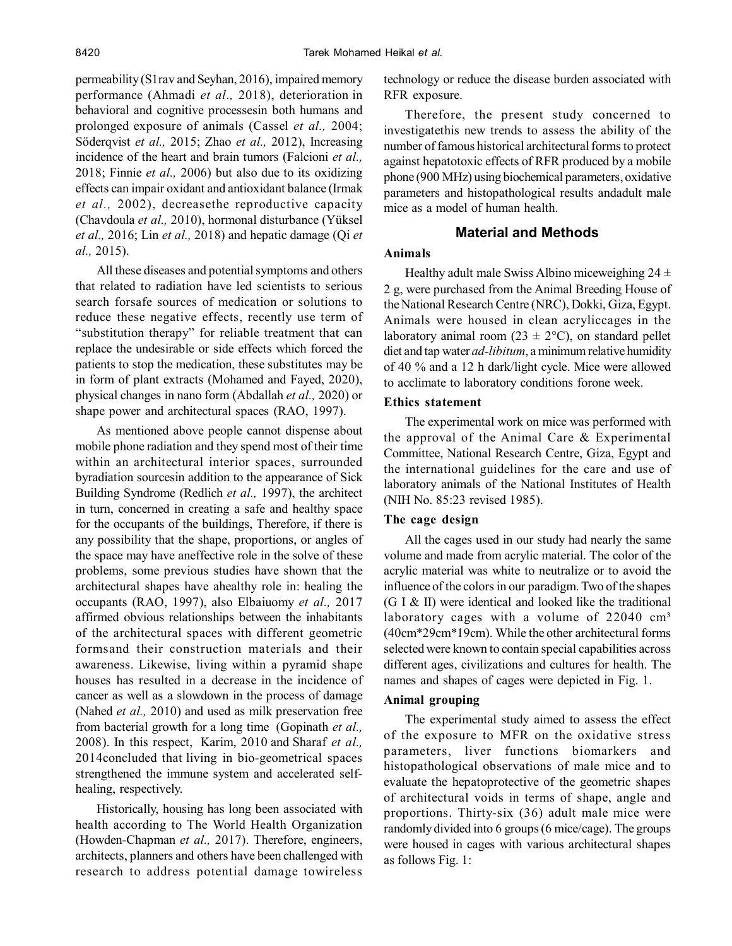permeability (S1rav and Seyhan, 2016), impaired memory performance (Ahmadi *et al.,* 2018), deterioration in behavioral and cognitive processesin both humans and prolonged exposure of animals (Cassel *et al.,* 2004; Söderqvist *et al.,* 2015; Zhao *et al.,* 2012), Increasing incidence of the heart and brain tumors (Falcioni *et al.,* 2018; Finnie *et al.,* 2006) but also due to its oxidizing effects can impair oxidant and antioxidant balance (Irmak *et al.,* 2002), decreasethe reproductive capacity (Chavdoula *et al.,* 2010), hormonal disturbance (Yüksel *et al.,* 2016; Lin *et al.,* 2018) and hepatic damage (Qi *et al.,* 2015).

All these diseases and potential symptoms and others that related to radiation have led scientists to serious search forsafe sources of medication or solutions to reduce these negative effects, recently use term of "substitution therapy" for reliable treatment that can replace the undesirable or side effects which forced the patients to stop the medication, these substitutes may be in form of plant extracts (Mohamed and Fayed, 2020), physical changes in nano form (Abdallah *et al.,* 2020) or shape power and architectural spaces (RAO, 1997).

As mentioned above people cannot dispense about mobile phone radiation and they spend most of their time within an architectural interior spaces, surrounded byradiation sourcesin addition to the appearance of Sick Building Syndrome (Redlich *et al.,* 1997), the architect in turn, concerned in creating a safe and healthy space for the occupants of the buildings, Therefore, if there is any possibility that the shape, proportions, or angles of the space may have aneffective role in the solve of these problems, some previous studies have shown that the architectural shapes have ahealthy role in: healing the occupants (RAO, 1997), also Elbaiuomy *et al.,* 2017 affirmed obvious relationships between the inhabitants of the architectural spaces with different geometric formsand their construction materials and their awareness. Likewise, living within a pyramid shape houses has resulted in a decrease in the incidence of cancer as well as a slowdown in the process of damage (Nahed *et al.,* 2010) and used as milk preservation free from bacterial growth for a long time (Gopinath *et al.,* 2008). In this respect, Karim, 2010 and Sharaf *et al.,* 2014concluded that living in bio-geometrical spaces strengthened the immune system and accelerated selfhealing, respectively.

Historically, housing has long been associated with health according to The World Health Organization (Howden-Chapman *et al.,* 2017). Therefore, engineers, architects, planners and others have been challenged with research to address potential damage towireless technology or reduce the disease burden associated with RFR exposure.

Therefore, the present study concerned to investigatethis new trends to assess the ability of the number of famous historical architectural forms to protect against hepatotoxic effects of RFR produced by a mobile phone (900 MHz) using biochemical parameters, oxidative parameters and histopathological results andadult male mice as a model of human health.

# **Material and Methods**

## **Animals**

Healthy adult male Swiss Albino miceweighing  $24 \pm$ 2 g, were purchased from the Animal Breeding House of the National Research Centre (NRC), Dokki, Giza, Egypt. Animals were housed in clean acryliccages in the laboratory animal room (23  $\pm$  2°C), on standard pellet diet and tap water *ad-libitum*, a minimum relative humidity of 40 % and a 12 h dark/light cycle. Mice were allowed to acclimate to laboratory conditions forone week.

## **Ethics statement**

The experimental work on mice was performed with the approval of the Animal Care & Experimental Committee, National Research Centre, Giza, Egypt and the international guidelines for the care and use of laboratory animals of the National Institutes of Health (NIH No. 85:23 revised 1985).

## **The cage design**

All the cages used in our study had nearly the same volume and made from acrylic material. The color of the acrylic material was white to neutralize or to avoid the influence of the colors in our paradigm. Two of the shapes (G I & II) were identical and looked like the traditional laboratory cages with a volume of  $22040 \text{ cm}^3$ (40cm\*29cm\*19cm). While the other architectural forms selected were known to contain special capabilities across different ages, civilizations and cultures for health. The names and shapes of cages were depicted in Fig. 1.

## **Animal grouping**

The experimental study aimed to assess the effect of the exposure to MFR on the oxidative stress parameters, liver functions biomarkers and histopathological observations of male mice and to evaluate the hepatoprotective of the geometric shapes of architectural voids in terms of shape, angle and proportions. Thirty-six (36) adult male mice were randomly divided into 6 groups (6 mice/cage). The groups were housed in cages with various architectural shapes as follows Fig. 1: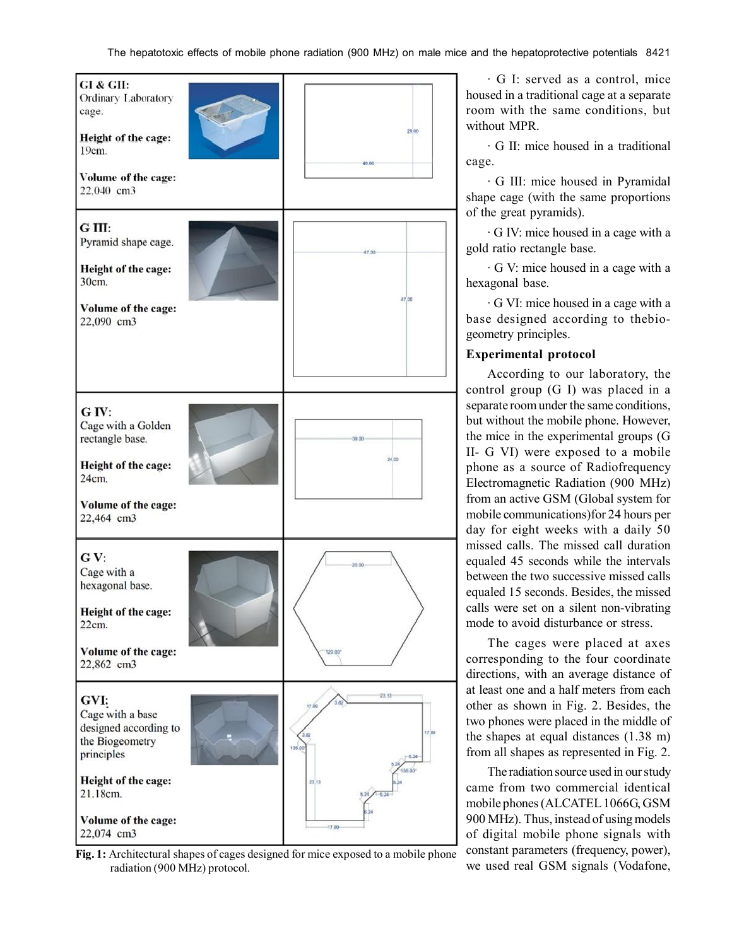

**Fig. 1:** Architectural shapes of cages designed for mice exposed to a mobile phone radiation (900 MHz) protocol.

· G I: served as a control, mice housed in a traditional cage at a separate room with the same conditions, but without MPR.

· G II: mice housed in a traditional cage.

· G III: mice housed in Pyramidal shape cage (with the same proportions of the great pyramids).

· G IV: mice housed in a cage with a gold ratio rectangle base.

· G V: mice housed in a cage with a hexagonal base.

· G VI: mice housed in a cage with a base designed according to thebiogeometry principles.

# **Experimental protocol**

According to our laboratory, the control group (G I) was placed in a separate room under the same conditions, but without the mobile phone. However, the mice in the experimental groups (G II- G VI) were exposed to a mobile phone as a source of Radiofrequency Electromagnetic Radiation (900 MHz) from an active GSM (Global system for mobile communications)for 24 hours per day for eight weeks with a daily 50 missed calls. The missed call duration equaled 45 seconds while the intervals between the two successive missed calls equaled 15 seconds. Besides, the missed calls were set on a silent non-vibrating mode to avoid disturbance or stress.

The cages were placed at axes corresponding to the four coordinate directions, with an average distance of at least one and a half meters from each other as shown in Fig. 2. Besides, the two phones were placed in the middle of the shapes at equal distances (1.38 m) from all shapes as represented in Fig. 2.

The radiation source used in our study came from two commercial identical mobile phones (ALCATEL 1066G, GSM 900 MHz). Thus, instead of using models of digital mobile phone signals with constant parameters (frequency, power), we used real GSM signals (Vodafone,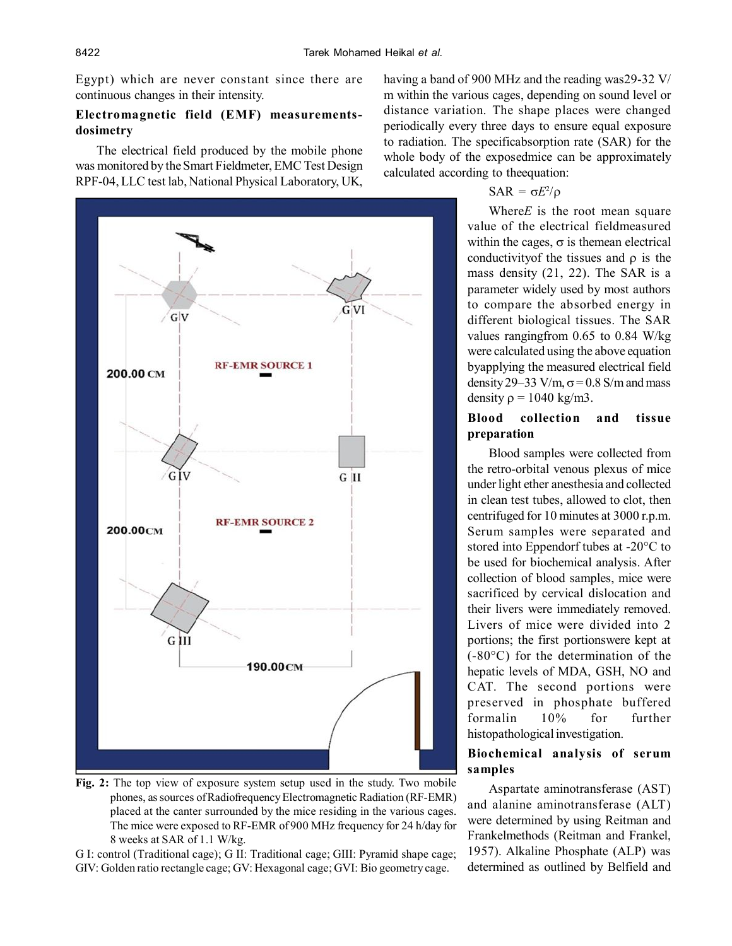Egypt) which are never constant since there are continuous changes in their intensity.

# **Electromagnetic field (EMF) measurementsdosimetry**

The electrical field produced by the mobile phone was monitored by the Smart Fieldmeter, EMC Test Design RPF-04, LLC test lab, National Physical Laboratory, UK,



**Fig. 2:** The top view of exposure system setup used in the study. Two mobile phones, as sources of Radiofrequency Electromagnetic Radiation (RF-EMR) placed at the canter surrounded by the mice residing in the various cages. The mice were exposed to RF-EMR of 900 MHz frequency for 24 h/day for 8 weeks at SAR of 1.1 W/kg.

G I: control (Traditional cage); G II: Traditional cage; GIII: Pyramid shape cage; GIV: Golden ratio rectangle cage; GV: Hexagonal cage; GVI: Bio geometry cage.

having a band of 900 MHz and the reading was29-32 V/ m within the various cages, depending on sound level or distance variation. The shape places were changed periodically every three days to ensure equal exposure to radiation. The specificabsorption rate (SAR) for the whole body of the exposedmice can be approximately calculated according to theequation:

# $\text{SAR} = \sigma E^2/\rho$

Where*E* is the root mean square value of the electrical fieldmeasured within the cages,  $\sigma$  is themean electrical conductivity of the tissues and  $\rho$  is the mass density (21, 22). The SAR is a parameter widely used by most authors to compare the absorbed energy in different biological tissues. The SAR values rangingfrom 0.65 to 0.84 W/kg were calculated using the above equation byapplying the measured electrical field density 29–33 V/m,  $\sigma$  = 0.8 S/m and mass density  $\rho = 1040 \text{ kg/m3}$ .

## **Blood collection and tissue preparation**

Blood samples were collected from the retro-orbital venous plexus of mice under light ether anesthesia and collected in clean test tubes, allowed to clot, then centrifuged for 10 minutes at 3000 r.p.m. Serum samples were separated and stored into Eppendorf tubes at -20°C to be used for biochemical analysis. After collection of blood samples, mice were sacrificed by cervical dislocation and their livers were immediately removed. Livers of mice were divided into 2 portions; the first portionswere kept at (-80°C) for the determination of the hepatic levels of MDA, GSH, NO and CAT. The second portions were preserved in phosphate buffered formalin 10% for further histopathological investigation.

# **Biochemical analysis of serum samples**

Aspartate aminotransferase (AST) and alanine aminotransferase (ALT) were determined by using Reitman and Frankelmethods (Reitman and Frankel, 1957). Alkaline Phosphate (ALP) was determined as outlined by Belfield and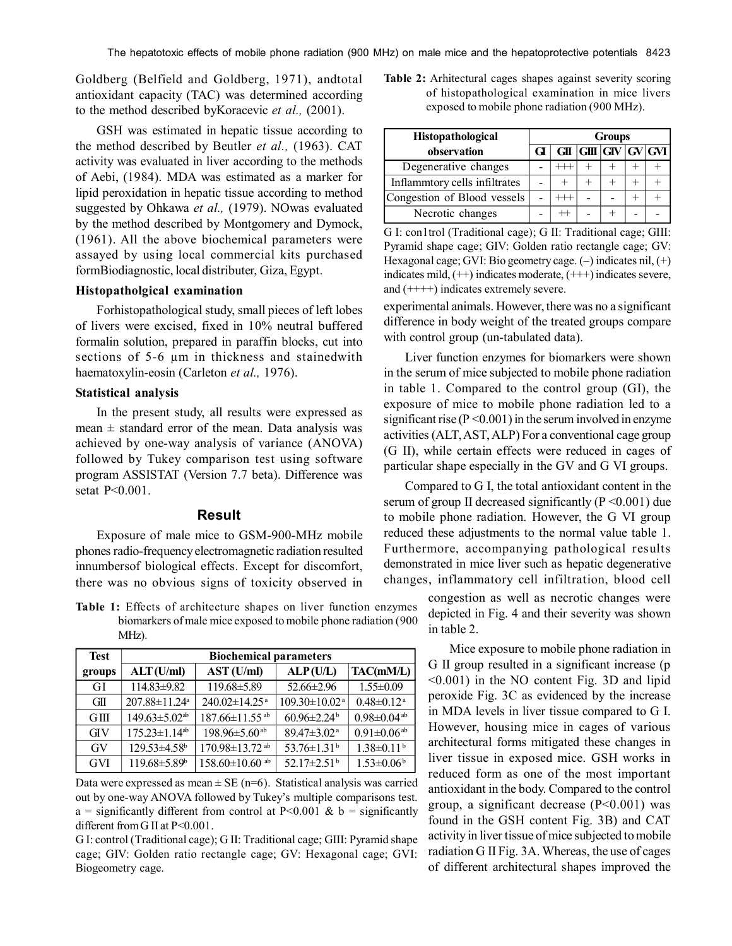Goldberg (Belfield and Goldberg, 1971), andtotal antioxidant capacity (TAC) was determined according to the method described byKoracevic *et al.,* (2001).

GSH was estimated in hepatic tissue according to the method described by Beutler *et al.,* (1963). CAT activity was evaluated in liver according to the methods of Aebi, (1984). MDA was estimated as a marker for lipid peroxidation in hepatic tissue according to method suggested by Ohkawa *et al.,* (1979). NOwas evaluated by the method described by Montgomery and Dymock, (1961). All the above biochemical parameters were assayed by using local commercial kits purchased formBiodiagnostic, local distributer, Giza, Egypt.

## **Histopatholgical examination**

Forhistopathological study, small pieces of left lobes of livers were excised, fixed in 10% neutral buffered formalin solution, prepared in paraffin blocks, cut into sections of 5-6  $\mu$ m in thickness and stainedwith haematoxylin-eosin (Carleton *et al.,* 1976).

## **Statistical analysis**

In the present study, all results were expressed as mean  $\pm$  standard error of the mean. Data analysis was achieved by one-way analysis of variance (ANOVA) followed by Tukey comparison test using software program ASSISTAT (Version 7.7 beta). Difference was setat P<0.001.

#### **Result**

Exposure of male mice to GSM-900-MHz mobile phones radio-frequency electromagnetic radiation resulted innumbersof biological effects. Except for discomfort, there was no obvious signs of toxicity observed in

**Table 1:** Effects of architecture shapes on liver function enzymes biomarkers of male mice exposed to mobile phone radiation (900 MHz).

| <b>Test</b> | <b>Biochemical parameters</b>   |                                  |                               |                               |  |  |  |  |  |
|-------------|---------------------------------|----------------------------------|-------------------------------|-------------------------------|--|--|--|--|--|
| groups      | ALT(U/ml)                       | AST (U/ml)                       | ALP(U/L)                      | TAC(mM/L)                     |  |  |  |  |  |
| GI          | $114.83 \pm 9.82$               | 119.68±5.89                      | $52.66 \pm 2.96$              | $1.55 \pm 0.09$               |  |  |  |  |  |
| GIL         | $207.88 \pm 11.24$ <sup>a</sup> | $240.02 \pm 14.25$ <sup>a</sup>  | $109.30 \pm 10.02^{\text{a}}$ | $0.48 \pm 0.12$ <sup>a</sup>  |  |  |  |  |  |
| GIII        | $149.63 \pm 5.02$ <sup>ab</sup> | 187.66±11.55 <sup>ab</sup>       | $60.96 \pm 2.24$ <sup>b</sup> | $0.98 \pm 0.04$ <sup>ab</sup> |  |  |  |  |  |
| <b>GIV</b>  | $175.23 \pm 1.14^{ab}$          | $198.96 \pm 5.60$ <sup>ab</sup>  | $89.47 \pm 3.02$ <sup>a</sup> | $0.91 \pm 0.06$ <sup>ab</sup> |  |  |  |  |  |
| GV          | $129.53 \pm 4.58$ <sup>b</sup>  | $170.98 \pm 13.72$ <sup>ab</sup> | $53.76 \pm 1.31^b$            | $1.38 \pm 0.11^b$             |  |  |  |  |  |
| <b>GVI</b>  | 119.68±5.89 <sup>b</sup>        | 158.60 $\pm$ 10.60 <sup>ab</sup> | 52.17 $\pm$ 2.51 <sup>b</sup> | $1.53 \pm 0.06^b$             |  |  |  |  |  |

Data were expressed as mean  $\pm$  SE (n=6). Statistical analysis was carried out by one-way ANOVA followed by Tukey's multiple comparisons test. a = significantly different from control at P<0.001 & b = significantly different from G II at P<0.001.

G I: control (Traditional cage); G II: Traditional cage; GIII: Pyramid shape cage; GIV: Golden ratio rectangle cage; GV: Hexagonal cage; GVI: Biogeometry cage.

**Table 2:** Arhitectural cages shapes against severity scoring of histopathological examination in mice livers exposed to mobile phone radiation (900 MHz).

| Histopathological             |  | <b>Groups</b> |  |             |  |  |  |  |
|-------------------------------|--|---------------|--|-------------|--|--|--|--|
| observation                   |  | GП            |  | GH GV GV GU |  |  |  |  |
| Degenerative changes          |  |               |  |             |  |  |  |  |
| Inflammtory cells infiltrates |  |               |  |             |  |  |  |  |
| Congestion of Blood vessels   |  |               |  |             |  |  |  |  |
| Necrotic changes              |  |               |  |             |  |  |  |  |

G I: con1trol (Traditional cage); G II: Traditional cage; GIII: Pyramid shape cage; GIV: Golden ratio rectangle cage; GV: Hexagonal cage; GVI: Bio geometry cage. (–) indicates nil, (+) indicates mild, (++) indicates moderate, (+++) indicates severe, and (++++) indicates extremely severe.

experimental animals. However, there was no a significant difference in body weight of the treated groups compare with control group (un-tabulated data).

Liver function enzymes for biomarkers were shown in the serum of mice subjected to mobile phone radiation in table 1. Compared to the control group (GI), the exposure of mice to mobile phone radiation led to a significant rise ( $P \le 0.001$ ) in the serum involved in enzyme activities (ALT, AST, ALP) For a conventional cage group (G II), while certain effects were reduced in cages of particular shape especially in the GV and G VI groups.

Compared to G I, the total antioxidant content in the serum of group II decreased significantly ( $P \le 0.001$ ) due to mobile phone radiation. However, the G VI group reduced these adjustments to the normal value table 1. Furthermore, accompanying pathological results demonstrated in mice liver such as hepatic degenerative changes, inflammatory cell infiltration, blood cell

> congestion as well as necrotic changes were depicted in Fig. 4 and their severity was shown in table 2.

> Mice exposure to mobile phone radiation in G II group resulted in a significant increase (p <0.001) in the NO content Fig. 3D and lipid peroxide Fig. 3C as evidenced by the increase in MDA levels in liver tissue compared to G I. However, housing mice in cages of various architectural forms mitigated these changes in liver tissue in exposed mice. GSH works in reduced form as one of the most important antioxidant in the body. Compared to the control group, a significant decrease (P<0.001) was found in the GSH content Fig. 3B) and CAT activity in liver tissue of mice subjected to mobile radiation G II Fig. 3A. Whereas, the use of cages of different architectural shapes improved the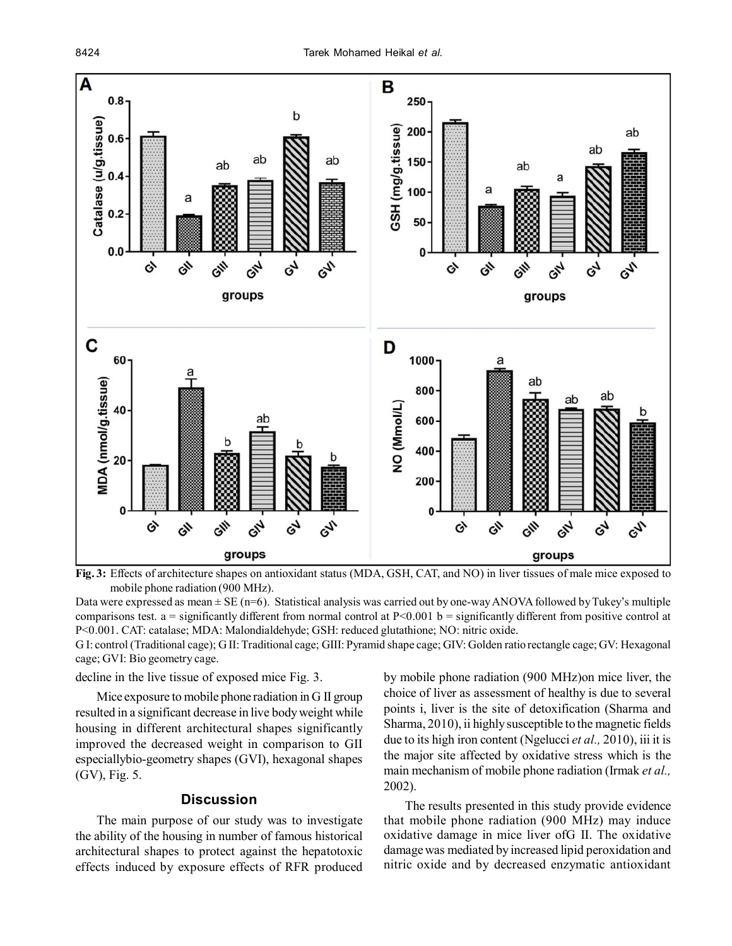

**Fig. 3:** Effects of architecture shapes on antioxidant status (MDA, GSH, CAT, and NO) in liver tissues of male mice exposed to mobile phone radiation (900 MHz).

Data were expressed as mean  $\pm$  SE (n=6). Statistical analysis was carried out by one-way ANOVA followed by Tukey's multiple comparisons test.  $a =$  significantly different from normal control at  $P<0.001$  b = significantly different from positive control at P<0.001. CAT: catalase; MDA: Malondialdehyde; GSH: reduced glutathione; NO: nitric oxide.

G I: control (Traditional cage); G II: Traditional cage; GIII: Pyramid shape cage; GIV: Golden ratio rectangle cage; GV: Hexagonal cage; GVI: Bio geometry cage.

decline in the live tissue of exposed mice Fig. 3.

Mice exposure to mobile phone radiation in G II group resulted in a significant decrease in live body weight while housing in different architectural shapes significantly improved the decreased weight in comparison to GII especiallybio-geometry shapes (GVI), hexagonal shapes (GV), Fig. 5.

## **Discussion**

The main purpose of our study was to investigate the ability of the housing in number of famous historical architectural shapes to protect against the hepatotoxic effects induced by exposure effects of RFR produced

by mobile phone radiation (900 MHz)on mice liver, the choice of liver as assessment of healthy is due to several points i, liver is the site of detoxification (Sharma and Sharma, 2010), ii highly susceptible to the magnetic fields due to its high iron content (Ngelucci *et al.,* 2010), iii it is the major site affected by oxidative stress which is the main mechanism of mobile phone radiation (Irmak *et al.,* 2002).

The results presented in this study provide evidence that mobile phone radiation (900 MHz) may induce oxidative damage in mice liver ofG II. The oxidative damage was mediated by increased lipid peroxidation and nitric oxide and by decreased enzymatic antioxidant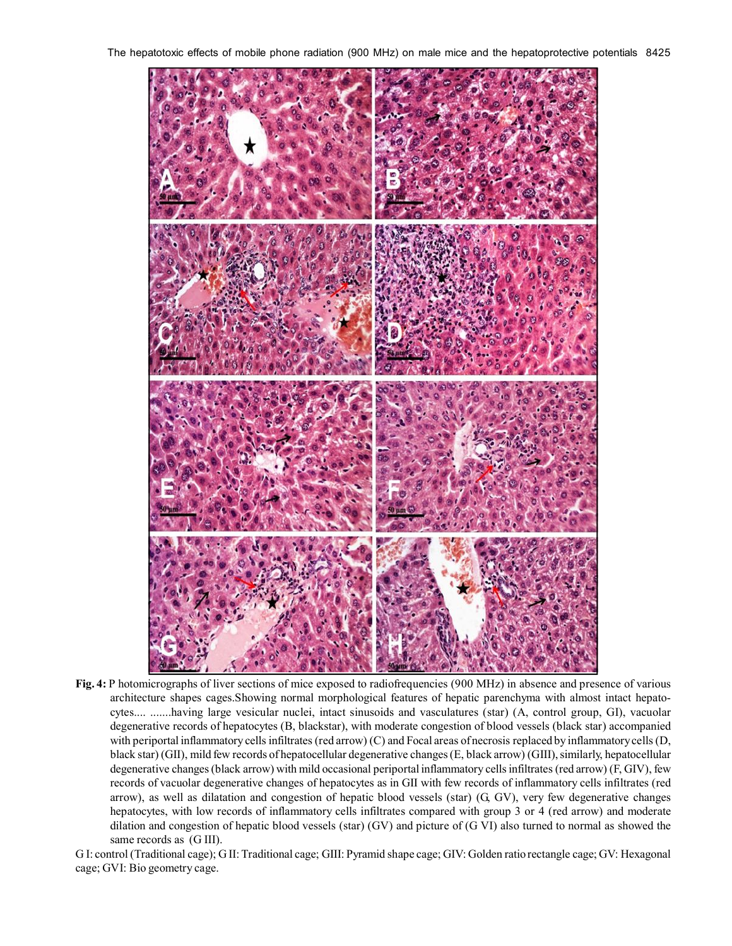The hepatotoxic effects of mobile phone radiation (900 MHz) on male mice and the hepatoprotective potentials 8425



**Fig. 4:** P hotomicrographs of liver sections of mice exposed to radiofrequencies (900 MHz) in absence and presence of various architecture shapes cages.Showing normal morphological features of hepatic parenchyma with almost intact hepatocytes.... .......having large vesicular nuclei, intact sinusoids and vasculatures (star) (A, control group, GI), vacuolar degenerative records of hepatocytes (B, blackstar), with moderate congestion of blood vessels (black star) accompanied with periportal inflammatory cells infiltrates (red arrow) (C) and Focal areas of necrosis replaced by inflammatory cells (D, black star) (GII), mild few records of hepatocellular degenerative changes (E, black arrow) (GIII), similarly, hepatocellular degenerative changes (black arrow) with mild occasional periportal inflammatory cells infiltrates (red arrow) (F, GIV), few records of vacuolar degenerative changes of hepatocytes as in GII with few records of inflammatory cells infiltrates (red arrow), as well as dilatation and congestion of hepatic blood vessels (star) (G, GV), very few degenerative changes hepatocytes, with low records of inflammatory cells infiltrates compared with group 3 or 4 (red arrow) and moderate dilation and congestion of hepatic blood vessels (star) (GV) and picture of (G VI) also turned to normal as showed the same records as (G III).

G I: control (Traditional cage); G II: Traditional cage; GIII: Pyramid shape cage; GIV: Golden ratio rectangle cage; GV: Hexagonal cage; GVI: Bio geometry cage.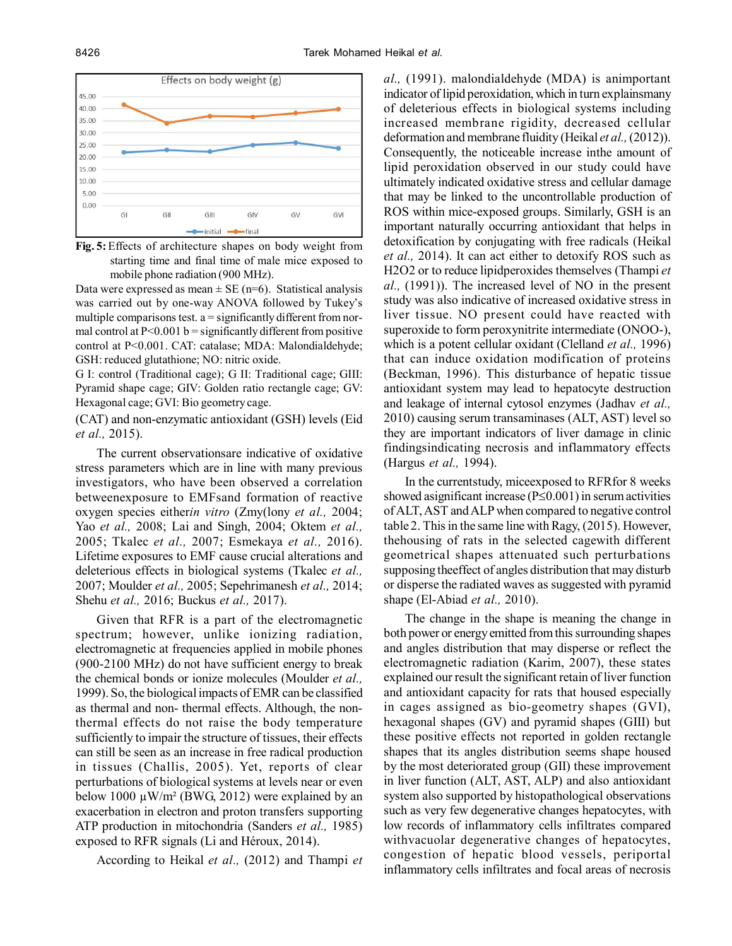

**Fig. 5:** Effects of architecture shapes on body weight from starting time and final time of male mice exposed to mobile phone radiation (900 MHz).

Data were expressed as mean  $\pm$  SE (n=6). Statistical analysis was carried out by one-way ANOVA followed by Tukey's multiple comparisons test.  $a =$  significantly different from normal control at  $P<0.001$  b = significantly different from positive control at P<0.001. CAT: catalase; MDA: Malondialdehyde; GSH: reduced glutathione; NO: nitric oxide.

G I: control (Traditional cage); G II: Traditional cage; GIII: Pyramid shape cage; GIV: Golden ratio rectangle cage; GV: Hexagonal cage; GVI: Bio geometry cage.

(CAT) and non-enzymatic antioxidant (GSH) levels (Eid *et al.,* 2015).

The current observationsare indicative of oxidative stress parameters which are in line with many previous investigators, who have been observed a correlation betweenexposure to EMFsand formation of reactive oxygen species either*in vitro* (Zmy(lony *et al.,* 2004; Yao *et al.,* 2008; Lai and Singh, 2004; Oktem *et al.,* 2005; Tkalec *et al.,* 2007; Esmekaya *et al.,* 2016). Lifetime exposures to EMF cause crucial alterations and deleterious effects in biological systems (Tkalec *et al.,* 2007; Moulder *et al.,* 2005; Sepehrimanesh *et al.,* 2014; Shehu *et al.,* 2016; Buckus *et al.,* 2017).

Given that RFR is a part of the electromagnetic spectrum; however, unlike ionizing radiation, electromagnetic at frequencies applied in mobile phones (900-2100 MHz) do not have sufficient energy to break the chemical bonds or ionize molecules (Moulder *et al.,* 1999). So, the biological impacts of EMR can be classified as thermal and non- thermal effects. Although, the nonthermal effects do not raise the body temperature sufficiently to impair the structure of tissues, their effects can still be seen as an increase in free radical production in tissues (Challis, 2005). Yet, reports of clear perturbations of biological systems at levels near or even below 1000  $\mu$ W/m<sup>2</sup> (BWG, 2012) were explained by an exacerbation in electron and proton transfers supporting ATP production in mitochondria (Sanders *et al.,* 1985) exposed to RFR signals (Li and Héroux, 2014).

According to Heikal *et al.,* (2012) and Thampi *et*

*al.,* (1991). malondialdehyde (MDA) is animportant indicator of lipid peroxidation, which in turn explainsmany of deleterious effects in biological systems including increased membrane rigidity, decreased cellular deformation and membrane fluidity (Heikal *et al.,* (2012)). Consequently, the noticeable increase inthe amount of lipid peroxidation observed in our study could have ultimately indicated oxidative stress and cellular damage that may be linked to the uncontrollable production of ROS within mice-exposed groups. Similarly, GSH is an important naturally occurring antioxidant that helps in detoxification by conjugating with free radicals (Heikal *et al.,* 2014). It can act either to detoxify ROS such as H2O2 or to reduce lipidperoxides themselves (Thampi *et al.,* (1991)). The increased level of NO in the present study was also indicative of increased oxidative stress in liver tissue. NO present could have reacted with superoxide to form peroxynitrite intermediate (ONOO-), which is a potent cellular oxidant (Clelland *et al.,* 1996) that can induce oxidation modification of proteins (Beckman, 1996). This disturbance of hepatic tissue antioxidant system may lead to hepatocyte destruction and leakage of internal cytosol enzymes (Jadhav *et al.,* 2010) causing serum transaminases (ALT, AST) level so they are important indicators of liver damage in clinic findingsindicating necrosis and inflammatory effects (Hargus *et al.,* 1994).

In the currentstudy, miceexposed to RFRfor 8 weeks showed asignificant increase  $(P \le 0.001)$  in serum activities of ALT, AST and ALP when compared to negative control table 2. This in the same line with Ragy, (2015). However, thehousing of rats in the selected cagewith different geometrical shapes attenuated such perturbations supposing theeffect of angles distribution that may disturb or disperse the radiated waves as suggested with pyramid shape (El-Abiad *et al.,* 2010).

The change in the shape is meaning the change in both power or energy emitted from this surrounding shapes and angles distribution that may disperse or reflect the electromagnetic radiation (Karim, 2007), these states explained our result the significant retain of liver function and antioxidant capacity for rats that housed especially in cages assigned as bio-geometry shapes (GVI), hexagonal shapes (GV) and pyramid shapes (GIII) but these positive effects not reported in golden rectangle shapes that its angles distribution seems shape housed by the most deteriorated group (GII) these improvement in liver function (ALT, AST, ALP) and also antioxidant system also supported by histopathological observations such as very few degenerative changes hepatocytes, with low records of inflammatory cells infiltrates compared withvacuolar degenerative changes of hepatocytes, congestion of hepatic blood vessels, periportal inflammatory cells infiltrates and focal areas of necrosis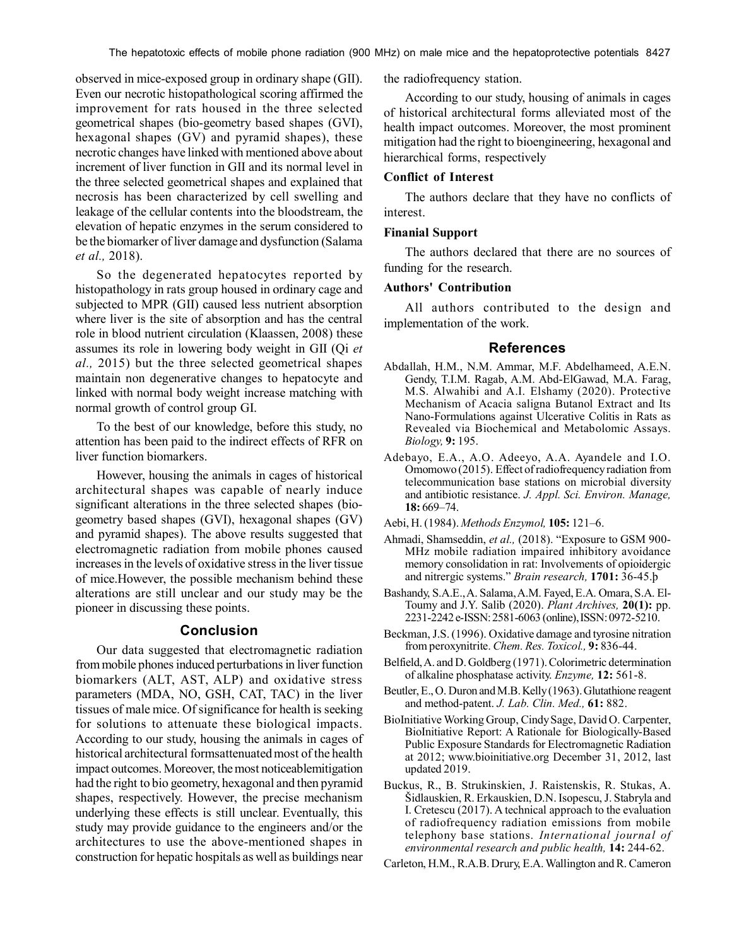observed in mice-exposed group in ordinary shape (GII). Even our necrotic histopathological scoring affirmed the improvement for rats housed in the three selected geometrical shapes (bio-geometry based shapes (GVI), hexagonal shapes (GV) and pyramid shapes), these necrotic changes have linked with mentioned above about increment of liver function in GII and its normal level in the three selected geometrical shapes and explained that necrosis has been characterized by cell swelling and leakage of the cellular contents into the bloodstream, the elevation of hepatic enzymes in the serum considered to be the biomarker of liver damage and dysfunction (Salama *et al.,* 2018).

So the degenerated hepatocytes reported by histopathology in rats group housed in ordinary cage and subjected to MPR (GII) caused less nutrient absorption where liver is the site of absorption and has the central role in blood nutrient circulation (Klaassen, 2008) these assumes its role in lowering body weight in GII (Qi *et al.,* 2015) but the three selected geometrical shapes maintain non degenerative changes to hepatocyte and linked with normal body weight increase matching with normal growth of control group GI.

To the best of our knowledge, before this study, no attention has been paid to the indirect effects of RFR on liver function biomarkers.

However, housing the animals in cages of historical architectural shapes was capable of nearly induce significant alterations in the three selected shapes (biogeometry based shapes (GVI), hexagonal shapes (GV) and pyramid shapes). The above results suggested that electromagnetic radiation from mobile phones caused increases in the levels of oxidative stress in the liver tissue of mice.However, the possible mechanism behind these alterations are still unclear and our study may be the pioneer in discussing these points.

## **Conclusion**

Our data suggested that electromagnetic radiation from mobile phones induced perturbations in liver function biomarkers (ALT, AST, ALP) and oxidative stress parameters (MDA, NO, GSH, CAT, TAC) in the liver tissues of male mice. Of significance for health is seeking for solutions to attenuate these biological impacts. According to our study, housing the animals in cages of historical architectural formsattenuated most of the health impact outcomes. Moreover, the most noticeablemitigation had the right to bio geometry, hexagonal and then pyramid shapes, respectively. However, the precise mechanism underlying these effects is still unclear. Eventually, this study may provide guidance to the engineers and/or the architectures to use the above-mentioned shapes in construction for hepatic hospitals as well as buildings near

the radiofrequency station.

According to our study, housing of animals in cages of historical architectural forms alleviated most of the health impact outcomes. Moreover, the most prominent mitigation had the right to bioengineering, hexagonal and hierarchical forms, respectively

## **Conflict of Interest**

The authors declare that they have no conflicts of interest.

#### **Finanial Support**

The authors declared that there are no sources of funding for the research.

#### **Authors' Contribution**

All authors contributed to the design and implementation of the work.

#### **References**

- Abdallah, H.M., N.M. Ammar, M.F. Abdelhameed, A.E.N. Gendy, T.I.M. Ragab, A.M. Abd-ElGawad, M.A. Farag, M.S. Alwahibi and A.I. Elshamy (2020). Protective Mechanism of Acacia saligna Butanol Extract and Its Nano-Formulations against Ulcerative Colitis in Rats as Revealed via Biochemical and Metabolomic Assays. *Biology,* **9:** 195.
- Adebayo, E.A., A.O. Adeeyo, A.A. Ayandele and I.O. Omomowo (2015). Effect of radiofrequency radiation from telecommunication base stations on microbial diversity and antibiotic resistance. *J. Appl. Sci. Environ. Manage,* **18:** 669–74.
- Aebi, H. (1984). *Methods Enzymol,* **105:** 121–6.
- Ahmadi, Shamseddin, *et al.,* (2018). "Exposure to GSM 900- MHz mobile radiation impaired inhibitory avoidance memory consolidation in rat: Involvements of opioidergic and nitrergic systems." *Brain research,* **1701:** 36-45.þ
- Bashandy, S.A.E., A. Salama, A.M. Fayed, E.A. Omara, S.A. El-Toumy and J.Y. Salib (2020). *Plant Archives,* **20(1):** pp. 2231-2242 e-ISSN: 2581-6063 (online), ISSN: 0972-5210.
- Beckman, J.S. (1996). Oxidative damage and tyrosine nitration from peroxynitrite. *Chem. Res. Toxicol.,* **9:** 836-44.
- Belfield, A. and D. Goldberg (1971). Colorimetric determination of alkaline phosphatase activity. *Enzyme,* **12:** 561-8.
- Beutler, E., O. Duron and M.B. Kelly (1963). Glutathione reagent and method-patent. *J. Lab. Clin. Med.,* **61:** 882.
- BioInitiative Working Group, Cindy Sage, David O. Carpenter, BioInitiative Report: A Rationale for Biologically-Based Public Exposure Standards for Electromagnetic Radiation at 2012; www.bioinitiative.org December 31, 2012, last updated 2019.
- Buckus, R., B. Strukinskien, J. Raistenskis, R. Stukas, A. Šidlauskien, R. Erkauskien, D.N. Isopescu, J. Stabryla and I. Cretescu (2017). A technical approach to the evaluation of radiofrequency radiation emissions from mobile telephony base stations. *International journal of environmental research and public health,* **14:** 244-62.
- Carleton, H.M., R.A.B. Drury, E.A. Wallington and R. Cameron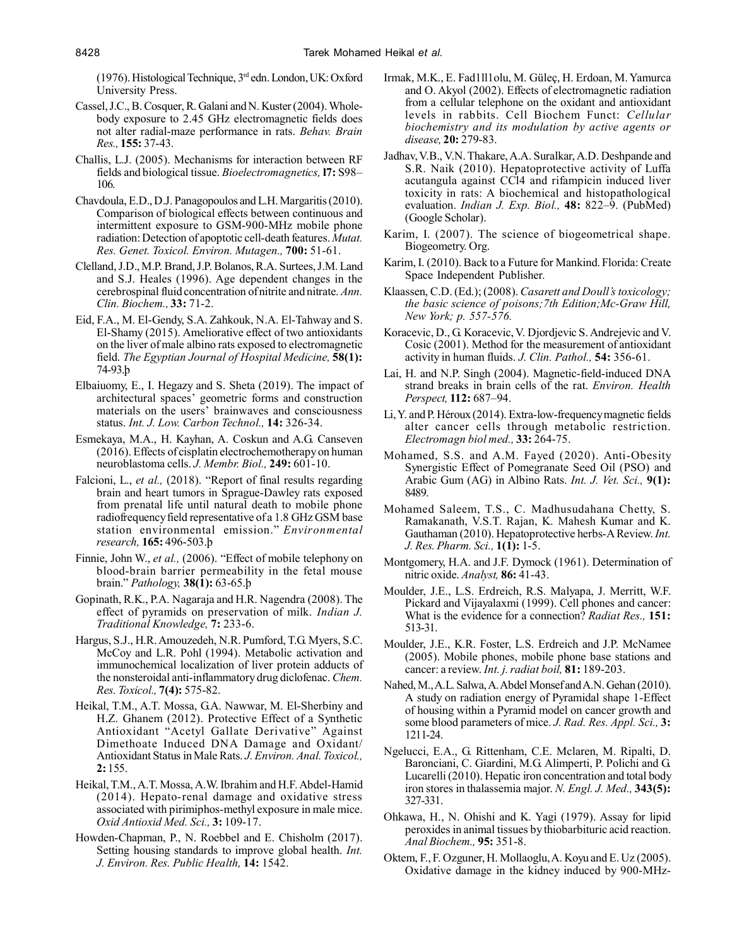(1976). Histological Technique, 3rd edn. London, UK: Oxford University Press.

- Cassel, J.C., B. Cosquer, R. Galani and N. Kuster (2004). Wholebody exposure to 2.45 GHz electromagnetic fields does not alter radial-maze performance in rats. *Behav. Brain Res.,* **155:** 37-43.
- Challis, L.J. (2005). Mechanisms for interaction between RF fields and biological tissue. *Bioelectromagnetics,* **l7:** S98– 106.
- Chavdoula, E.D., D.J. Panagopoulos and L.H. Margaritis (2010). Comparison of biological effects between continuous and intermittent exposure to GSM-900-MHz mobile phone radiation: Detection of apoptotic cell-death features. *Mutat. Res. Genet. Toxicol. Environ. Mutagen.,* **700:** 51-61.
- Clelland, J.D., M.P. Brand, J.P. Bolanos, R.A. Surtees, J.M. Land and S.J. Heales (1996). Age dependent changes in the cerebrospinal fluid concentration of nitrite and nitrate. *Ann. Clin. Biochem.,* **33:** 71-2.
- Eid, F.A., M. El-Gendy, S.A. Zahkouk, N.A. El-Tahway and S. El-Shamy (2015). Ameliorative effect of two antioxidants on the liver of male albino rats exposed to electromagnetic field. *The Egyptian Journal of Hospital Medicine,* **58(1):** 74-93.þ
- Elbaiuomy, E., I. Hegazy and S. Sheta (2019). The impact of architectural spaces' geometric forms and construction materials on the users' brainwaves and consciousness status. *Int. J. Low. Carbon Technol.,* **14:** 326-34.
- Esmekaya, M.A., H. Kayhan, A. Coskun and A.G. Canseven (2016). Effects of cisplatin electrochemotherapy on human neuroblastoma cells. *J. Membr. Biol.,* **249:** 601-10.
- Falcioni, L., *et al.,* (2018). "Report of final results regarding brain and heart tumors in Sprague-Dawley rats exposed from prenatal life until natural death to mobile phone radiofrequency field representative of a 1.8 GHz GSM base station environmental emission." *Environmental research,* **165:** 496-503.þ
- Finnie, John W., *et al.,* (2006). "Effect of mobile telephony on blood-brain barrier permeability in the fetal mouse brain." *Pathology,* **38(1):** 63-65.þ
- Gopinath, R.K., P.A. Nagaraja and H.R. Nagendra (2008). The effect of pyramids on preservation of milk. *Indian J. Traditional Knowledge,* **7:** 233-6.
- Hargus, S.J., H.R. Amouzedeh, N.R. Pumford, T.G. Myers, S.C. McCoy and L.R. Pohl (1994). Metabolic activation and immunochemical localization of liver protein adducts of the nonsteroidal anti-inflammatory drug diclofenac. *Chem. Res. Toxicol.,* **7(4):** 575-82.
- Heikal, T.M., A.T. Mossa, G.A. Nawwar, M. El-Sherbiny and H.Z. Ghanem (2012). Protective Effect of a Synthetic Antioxidant "Acetyl Gallate Derivative" Against Dimethoate Induced DNA Damage and Oxidant/ Antioxidant Status in Male Rats. *J. Environ. Anal. Toxicol.,* **2:** 155.
- Heikal, T.M., A.T. Mossa, A.W. Ibrahim and H.F. Abdel-Hamid (2014). Hepato-renal damage and oxidative stress associated with pirimiphos-methyl exposure in male mice. *Oxid Antioxid Med. Sci.,* **3:** 109-17.
- Howden-Chapman, P., N. Roebbel and E. Chisholm (2017). Setting housing standards to improve global health. *Int. J. Environ. Res. Public Health,* **14:** 1542.
- Irmak, M.K., E. Fad1ll1olu, M. Güleç, H. Erdoan, M. Yamurca and O. Akyol (2002). Effects of electromagnetic radiation from a cellular telephone on the oxidant and antioxidant levels in rabbits. Cell Biochem Funct: *Cellular biochemistry and its modulation by active agents or disease,* **20:** 279-83.
- Jadhav, V.B., V.N. Thakare, A.A. Suralkar, A.D. Deshpande and S.R. Naik (2010). Hepatoprotective activity of Luffa acutangula against CCl4 and rifampicin induced liver toxicity in rats: A biochemical and histopathological evaluation. *Indian J. Exp. Biol.,* **48:** 822–9. (PubMed) (Google Scholar).
- Karim, I. (2007). The science of biogeometrical shape. Biogeometry. Org.
- Karim, I. (2010). Back to a Future for Mankind. Florida: Create Space Independent Publisher.
- Klaassen, C.D. (Ed.); (2008). *Casarett and Doull's toxicology; the basic science of poisons;7th Edition;Mc-Graw Hill, New York; p. 557-576.*
- Koracevic, D., G. Koracevic, V. Djordjevic S. Andrejevic and V. Cosic (2001). Method for the measurement of antioxidant activity in human fluids. *J. Clin. Pathol.,* **54:** 356-61.
- Lai, H. and N.P. Singh (2004). Magnetic-field-induced DNA strand breaks in brain cells of the rat. *Environ. Health Perspect,* **112:** 687–94.
- Li, Y. and P. Héroux (2014). Extra-low-frequency magnetic fields alter cancer cells through metabolic restriction. *Electromagn biol med.,* **33:** 264-75.
- Mohamed, S.S. and A.M. Fayed (2020). Anti-Obesity Synergistic Effect of Pomegranate Seed Oil (PSO) and Arabic Gum (AG) in Albino Rats. *Int. J. Vet. Sci.,* **9(1):** 8489.
- Mohamed Saleem, T.S., C. Madhusudahana Chetty, S. Ramakanath, V.S.T. Rajan, K. Mahesh Kumar and K. Gauthaman (2010). Hepatoprotective herbs-A Review. *Int. J. Res. Pharm. Sci.,* **1(1):** 1-5.
- Montgomery, H.A. and J.F. Dymock (1961). Determination of nitric oxide. *Analyst,* **86:** 41-43.
- Moulder, J.E., L.S. Erdreich, R.S. Malyapa, J. Merritt, W.F. Pickard and Vijayalaxmi (1999). Cell phones and cancer: What is the evidence for a connection? *Radiat Res.,* **151:** 513-31.
- Moulder, J.E., K.R. Foster, L.S. Erdreich and J.P. McNamee (2005). Mobile phones, mobile phone base stations and cancer: a review. *Int. j. radiat boil,* **81:** 189-203.
- Nahed, M., A.L. Salwa, A. Abdel Monsef and A.N. Gehan (2010). A study on radiation energy of Pyramidal shape 1-Effect of housing within a Pyramid model on cancer growth and some blood parameters of mice. *J. Rad. Res. Appl. Sci.,* **3:** 1211-24.
- Ngelucci, E.A., G. Rittenham, C.E. Mclaren, M. Ripalti, D. Baronciani, C. Giardini, M.G. Alimperti, P. Polichi and G. Lucarelli (2010). Hepatic iron concentration and total body iron stores in thalassemia major. *N. Engl. J. Med.,* **343(5):** 327-331.
- Ohkawa, H., N. Ohishi and K. Yagi (1979). Assay for lipid peroxides in animal tissues by thiobarbituric acid reaction. *Anal Biochem.,* **95:** 351-8.
- Oktem, F., F. Ozguner, H. Mollaoglu, A. Koyu and E. Uz (2005). Oxidative damage in the kidney induced by 900-MHz-